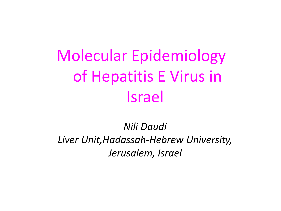# Molecular Epidemiology of Hepatitis E Virus in Israel

*Nili Daudi Liver Unit,Hadassah-Hebrew University, Jerusalem, Israel*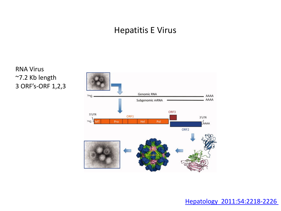#### Hepatitis E Virus

 RNA Virus ~7.2 Kb length 3 ORF's-ORF 1,2,3



[Hepatology 2011:54:2218-2226](http://onlinelibrary.wiley.com/doi/10.1002/hep.24674/full)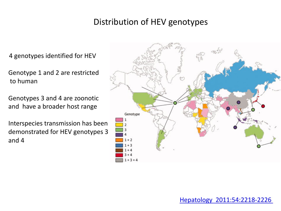#### Distribution of HEV genotypes

4 genotypes identified for HEV

Genotype 1 and 2 are restricted to human

Genotypes 3 and 4 are zoonotic and have a broader host range

Interspecies transmission has been demonstrated for HEV genotypes 3 and 4

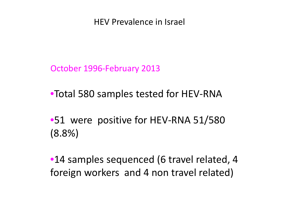HEV Prevalence in Israel

October 1996-February 2013

•Total 580 samples tested for HEV-RNA

•51 were positive for HEV-RNA 51/580 (8.8%)

•14 samples sequenced (6 travel related, 4 foreign workers and 4 non travel related)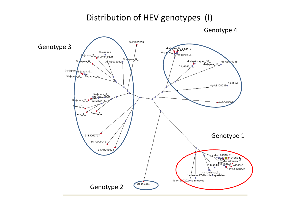#### Distribution of HEV genotypes (I)



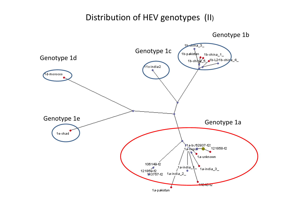#### Distribution of HEV genotypes (II)

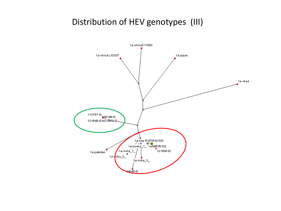#### Distribution of HEV genotypes (III)

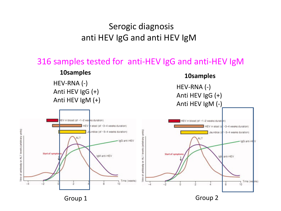### Serogic diagnosis anti HEV IgG and anti HEV IgM

#### 316 samples tested for anti-HEV IgG and anti-HEV IgM

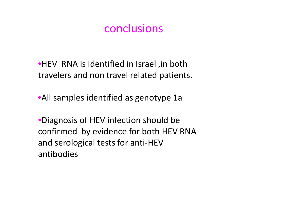## conclusions

•HEV RNA is identified in Israel ,in both travelers and non travel related patients.

•All samples identified as genotype 1a

•Diagnosis of HEV infection should be confirmed by evidence for both HEV RNA and serological tests for anti-HEV antibodies